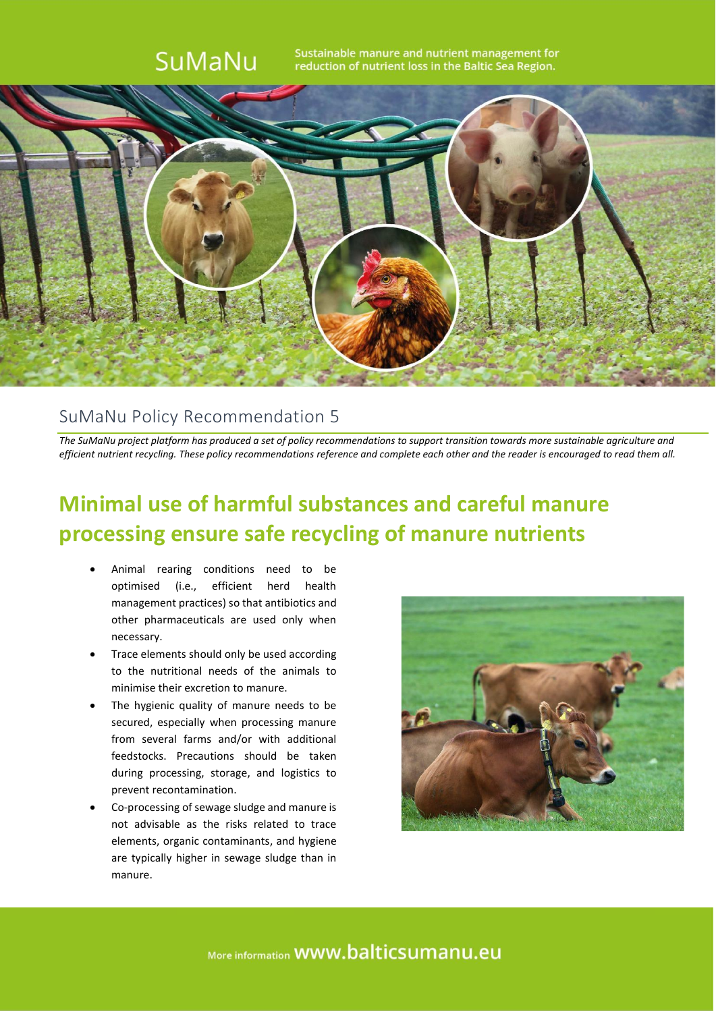

## SuMaNu Policy Recommendation 5

*The SuMaNu project platform has produced a set of policy recommendations to support transition towards more sustainable agriculture and efficient nutrient recycling. These policy recommendations reference and complete each other and the reader is encouraged to read them all.*

## **Minimal use of harmful substances and careful manure processing ensure safe recycling of manure nutrients**

- Animal rearing conditions need to be optimised (i.e., efficient herd health management practices) so that antibiotics and other pharmaceuticals are used only when necessary.
- Trace elements should only be used according to the nutritional needs of the animals to minimise their excretion to manure.
- The hygienic quality of manure needs to be secured, especially when processing manure from several farms and/or with additional feedstocks. Precautions should be taken during processing, storage, and logistics to prevent recontamination.
- Co-processing of sewage sludge and manure is not advisable as the risks related to trace elements, organic contaminants, and hygiene are typically higher in sewage sludge than in manure.



More information **WWW.balticsumanu.eu**